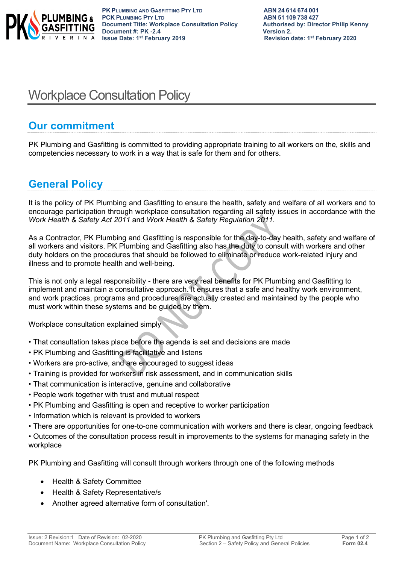

# Workplace Consultation Policy

## **Our commitment**

PK Plumbing and Gasfitting is committed to providing appropriate training to all workers on the, skills and competencies necessary to work in a way that is safe for them and for others.

# **General Policy**

It is the policy of PK Plumbing and Gasfitting to ensure the health, safety and welfare of all workers and to encourage participation through workplace consultation regarding all safety issues in accordance with the *Work Health & Safety Act 2011* and *Work Health & Safety Regulation 2011*.

As a Contractor, PK Plumbing and Gasfitting is responsible for the day-to-day health, safety and welfare of all workers and visitors. PK Plumbing and Gasfitting also has the duty to consult with workers and other duty holders on the procedures that should be followed to eliminate or reduce work-related injury and illness and to promote health and well-being.

This is not only a legal responsibility - there are very real benefits for PK Plumbing and Gasfitting to implement and maintain a consultative approach. It ensures that a safe and healthy work environment, and work practices, programs and procedures are actually created and maintained by the people who must work within these systems and be guided by them.

Workplace consultation explained simply

- That consultation takes place before the agenda is set and decisions are made
- PK Plumbing and Gasfitting is facilitative and listens
- Workers are pro-active, and are encouraged to suggest ideas
- Training is provided for workers in risk assessment, and in communication skills
- That communication is interactive, genuine and collaborative
- People work together with trust and mutual respect
- PK Plumbing and Gasfitting is open and receptive to worker participation
- Information which is relevant is provided to workers
- There are opportunities for one-to-one communication with workers and there is clear, ongoing feedback
- Outcomes of the consultation process result in improvements to the systems for managing safety in the workplace

PK Plumbing and Gasfitting will consult through workers through one of the following methods

- Health & Safety Committee
- Health & Safety Representative/s
- Another agreed alternative form of consultation'.